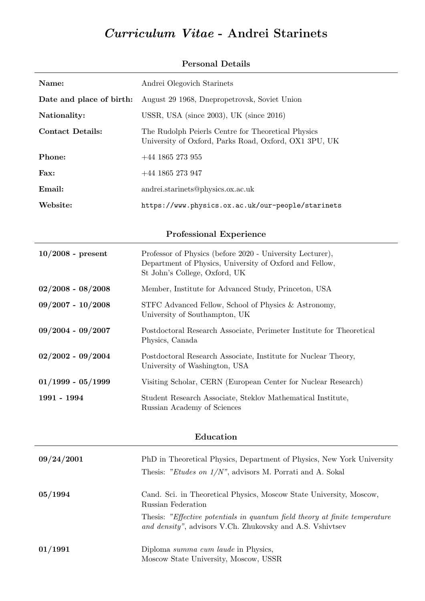# Curriculum Vitae - Andrei Starinets

| Name:                    | Andrei Olegovich Starinets                                                                                                                            |
|--------------------------|-------------------------------------------------------------------------------------------------------------------------------------------------------|
| Date and place of birth: | August 29 1968, Dnepropetrovsk, Soviet Union                                                                                                          |
| Nationality:             | USSR, USA (since $2003$ ), UK (since $2016$ )                                                                                                         |
| <b>Contact Details:</b>  | The Rudolph Peierls Centre for Theoretical Physics<br>University of Oxford, Parks Road, Oxford, OX1 3PU, UK                                           |
| Phone:                   | $+44$ 1865 273 955                                                                                                                                    |
| Fax:                     | $+44$ 1865 273 947                                                                                                                                    |
| Email:                   | andrei.starinets@physics.ox.ac.uk                                                                                                                     |
| Website:                 | https://www.physics.ox.ac.uk/our-people/starinets                                                                                                     |
|                          | <b>Professional Experience</b>                                                                                                                        |
| $10/2008$ - present      | Professor of Physics (before 2020 - University Lecturer),<br>Department of Physics, University of Oxford and Fellow,<br>St John's College, Oxford, UK |
| $02/2008 - 08/2008$      | Member, Institute for Advanced Study, Princeton, USA                                                                                                  |
| $09/2007 - 10/2008$      | STFC Advanced Fellow, School of Physics & Astronomy,<br>University of Southampton, UK                                                                 |
| $09/2004 - 09/2007$      | Postdoctoral Research Associate, Perimeter Institute for Theoretical<br>Physics, Canada                                                               |
| $02/2002 - 09/2004$      | Postdoctoral Research Associate, Institute for Nuclear Theory,<br>University of Washington, USA                                                       |
| $01/1999 - 05/1999$      | Visiting Scholar, CERN (European Center for Nuclear Research)                                                                                         |
| 1991 - 1994              | Student Research Associate, Steklov Mathematical Institute,<br>Russian Academy of Sciences                                                            |
| Education                |                                                                                                                                                       |
| 09/24/2001               | PhD in Theoretical Physics, Department of Physics, New York University<br>Thesis: "Etudes on $1/N$ ", advisors M. Porrati and A. Sokal                |
| 05/1994                  | Cand. Sci. in Theoretical Physics, Moscow State University, Moscow,<br>Russian Federation                                                             |
|                          | Thesis: "Effective potentials in quantum field theory at finite temperature<br>and density", advisors V.Ch. Zhukovsky and A.S. Vshivtsev              |

### Personal Details

01/1991 Diploma summa cum laude in Physics, Moscow State University, Moscow, USSR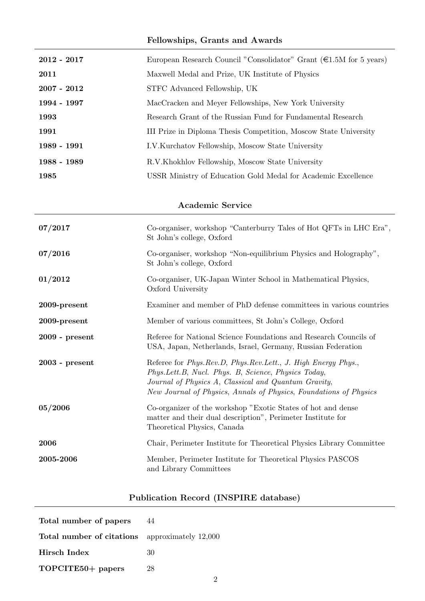## Fellowships, Grants and Awards

| $2012 - 2017$ | European Research Council "Consolidator" Grant $(\epsilon 1.5M)$ for 5 years) |
|---------------|-------------------------------------------------------------------------------|
| 2011          | Maxwell Medal and Prize, UK Institute of Physics                              |
| $2007 - 2012$ | STFC Advanced Fellowship, UK                                                  |
| 1994 - 1997   | MacCracken and Meyer Fellowships, New York University                         |
| 1993          | Research Grant of the Russian Fund for Fundamental Research                   |
| 1991          | III Prize in Diploma Thesis Competition, Moscow State University              |
| 1989 - 1991   | I.V.Kurchatov Fellowship, Moscow State University                             |
| 1988 - 1989   | R.V.Khokhlov Fellowship, Moscow State University                              |
| 1985          | USSR Ministry of Education Gold Medal for Academic Excellence                 |

## Academic Service

| 07/2017          | Co-organiser, workshop "Canterburry Tales of Hot QFTs in LHC Era",<br>St John's college, Oxford                                                                                                                                                   |
|------------------|---------------------------------------------------------------------------------------------------------------------------------------------------------------------------------------------------------------------------------------------------|
| 07/2016          | Co-organiser, workshop "Non-equilibrium Physics and Holography",<br>St John's college, Oxford                                                                                                                                                     |
| 01/2012          | Co-organiser, UK-Japan Winter School in Mathematical Physics,<br>Oxford University                                                                                                                                                                |
| $2009$ -present  | Examiner and member of PhD defense committees in various countries                                                                                                                                                                                |
| $2009$ -present  | Member of various committees, St John's College, Oxford                                                                                                                                                                                           |
| $2009$ - present | Referee for National Science Foundations and Research Councils of<br>USA, Japan, Netherlands, Israel, Germany, Russian Federation                                                                                                                 |
| $2003$ - present | Referee for Phys.Rev.D, Phys.Rev.Lett., J. High Energy Phys.,<br>Phys.Lett.B, Nucl. Phys. B, Science, Physics Today,<br>Journal of Physics A, Classical and Quantum Gravity,<br>New Journal of Physics, Annals of Physics, Foundations of Physics |
| 05/2006          | Co-organizer of the workshop "Exotic States of hot and dense<br>matter and their dual description", Perimeter Institute for<br>Theoretical Physics, Canada                                                                                        |
| 2006             | Chair, Perimeter Institute for Theoretical Physics Library Committee                                                                                                                                                                              |
| 2005-2006        | Member, Perimeter Institute for Theoretical Physics PASCOS<br>and Library Committees                                                                                                                                                              |

## Publication Record (INSPIRE database)

| Total number of papers                                | 44 |
|-------------------------------------------------------|----|
| <b>Total number of citations</b> approximately 12,000 |    |
| Hirsch Index                                          | 30 |
| TOPCITE50+ papers                                     | 28 |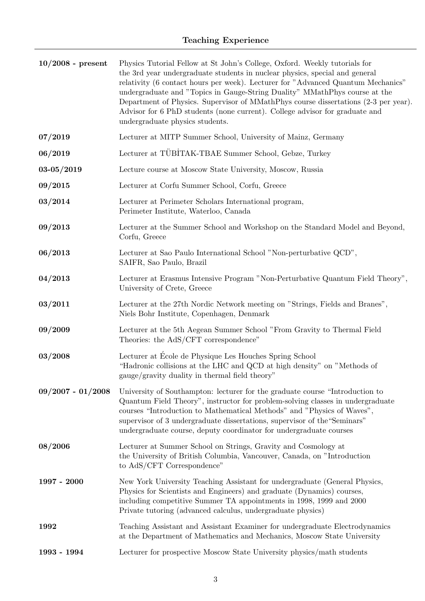| $10/2008$ - present | Physics Tutorial Fellow at St John's College, Oxford. Weekly tutorials for<br>the 3rd year undergraduate students in nuclear physics, special and general<br>relativity (6 contact hours per week). Lecturer for "Advanced Quantum Mechanics"<br>undergraduate and "Topics in Gauge-String Duality" MMathPhys course at the<br>Department of Physics. Supervisor of MMathPhys course dissertations (2-3 per year).<br>Advisor for 6 PhD students (none current). College advisor for graduate and<br>undergraduate physics students. |
|---------------------|--------------------------------------------------------------------------------------------------------------------------------------------------------------------------------------------------------------------------------------------------------------------------------------------------------------------------------------------------------------------------------------------------------------------------------------------------------------------------------------------------------------------------------------|
| 07/2019             | Lecturer at MITP Summer School, University of Mainz, Germany                                                                                                                                                                                                                                                                                                                                                                                                                                                                         |
| 06/2019             | Lecturer at TÜBİTAK-TBAE Summer School, Gebze, Turkey                                                                                                                                                                                                                                                                                                                                                                                                                                                                                |
| $03 - 05/2019$      | Lecture course at Moscow State University, Moscow, Russia                                                                                                                                                                                                                                                                                                                                                                                                                                                                            |
| 09/2015             | Lecturer at Corfu Summer School, Corfu, Greece                                                                                                                                                                                                                                                                                                                                                                                                                                                                                       |
| 03/2014             | Lecturer at Perimeter Scholars International program,<br>Perimeter Institute, Waterloo, Canada                                                                                                                                                                                                                                                                                                                                                                                                                                       |
| 09/2013             | Lecturer at the Summer School and Workshop on the Standard Model and Beyond,<br>Corfu, Greece                                                                                                                                                                                                                                                                                                                                                                                                                                        |
| 06/2013             | Lecturer at Sao Paulo International School "Non-perturbative QCD",<br>SAIFR, Sao Paulo, Brazil                                                                                                                                                                                                                                                                                                                                                                                                                                       |
| 04/2013             | Lecturer at Erasmus Intensive Program "Non-Perturbative Quantum Field Theory",<br>University of Crete, Greece                                                                                                                                                                                                                                                                                                                                                                                                                        |
| 03/2011             | Lecturer at the 27th Nordic Network meeting on "Strings, Fields and Branes",<br>Niels Bohr Institute, Copenhagen, Denmark                                                                                                                                                                                                                                                                                                                                                                                                            |
| 09/2009             | Lecturer at the 5th Aegean Summer School "From Gravity to Thermal Field<br>Theories: the AdS/CFT correspondence"                                                                                                                                                                                                                                                                                                                                                                                                                     |
| 03/2008             | Lecturer at Ecole de Physique Les Houches Spring School<br>"Hadronic collisions at the LHC and QCD at high density" on "Methods of<br>gauge/gravity duality in thermal field theory"                                                                                                                                                                                                                                                                                                                                                 |
| $09/2007 - 01/2008$ | University of Southampton: lecturer for the graduate course "Introduction to<br>Quantum Field Theory", instructor for problem-solving classes in undergraduate<br>courses "Introduction to Mathematical Methods" and "Physics of Waves",<br>supervisor of 3 undergraduate dissertations, supervisor of the "Seminars"<br>undergraduate course, deputy coordinator for undergraduate courses                                                                                                                                          |
| 08/2006             | Lecturer at Summer School on Strings, Gravity and Cosmology at<br>the University of British Columbia, Vancouver, Canada, on "Introduction"<br>to AdS/CFT Correspondence"                                                                                                                                                                                                                                                                                                                                                             |
| $1997 - 2000$       | New York University Teaching Assistant for undergraduate (General Physics,<br>Physics for Scientists and Engineers) and graduate (Dynamics) courses,<br>including competitive Summer TA appointments in 1998, 1999 and 2000<br>Private tutoring (advanced calculus, undergraduate physics)                                                                                                                                                                                                                                           |
| 1992                | Teaching Assistant and Assistant Examiner for undergraduate Electrodynamics<br>at the Department of Mathematics and Mechanics, Moscow State University                                                                                                                                                                                                                                                                                                                                                                               |
| 1993 - 1994         | Lecturer for prospective Moscow State University physics/math students                                                                                                                                                                                                                                                                                                                                                                                                                                                               |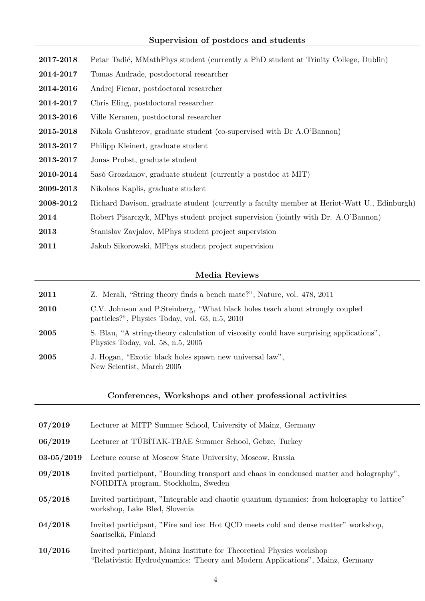| 2017-2018 | Petar Tadić, MMathPhys student (currently a PhD student at Trinity College, Dublin)         |
|-----------|---------------------------------------------------------------------------------------------|
| 2014-2017 | Tomas Andrade, postdoctoral researcher                                                      |
| 2014-2016 | Andrej Ficnar, postdoctoral researcher                                                      |
| 2014-2017 | Chris Eling, postdoctoral researcher                                                        |
| 2013-2016 | Ville Keranen, postdoctoral researcher                                                      |
| 2015-2018 | Nikola Gushterov, graduate student (co-supervised with Dr A.O'Bannon)                       |
| 2013-2017 | Philipp Kleinert, graduate student                                                          |
| 2013-2017 | Jonas Probst, graduate student                                                              |
| 2010-2014 | Saso Grozdanov, graduate student (currently a postdoc at MIT)                               |
| 2009-2013 | Nikolaos Kaplis, graduate student                                                           |
| 2008-2012 | Richard Davison, graduate student (currently a faculty member at Heriot-Watt U., Edinburgh) |
| 2014      | Robert Pisarczyk, MPhys student project supervision (jointly with Dr. A.O'Bannon)           |
| 2013      | Stanislav Zavjalov, MPhys student project supervision                                       |
| 2011      | Jakub Sikorowski, MPhys student project supervision                                         |

#### Media Reviews

| 2011 | Z. Merali, "String theory finds a bench mate?", Nature, vol. 478, 2011                                                         |
|------|--------------------------------------------------------------------------------------------------------------------------------|
| 2010 | C.V. Johnson and P.Steinberg, "What black holes teach about strongly coupled<br>particles?", Physics Today, vol. 63, n.5, 2010 |
| 2005 | S. Blau, "A string-theory calculation of viscosity could have surprising applications".<br>Physics Today, vol. 58, n.5, $2005$ |
| 2005 | J. Hogan, "Exotic black holes spawn new universal law",<br>New Scientist, March 2005                                           |
|      |                                                                                                                                |

#### Conferences, Workshops and other professional activities

| 07/2019        | Lecturer at MITP Summer School, University of Mainz, Germany                                                                  |
|----------------|-------------------------------------------------------------------------------------------------------------------------------|
| 06/2019        | Lecturer at TÜBİTAK-TBAE Summer School, Gebze, Turkey                                                                         |
| $03 - 05/2019$ | Lecture course at Moscow State University, Moscow, Russia                                                                     |
| 09/2018        | Invited participant, "Bounding transport and chaos in condensed matter and holography",<br>NORDITA program, Stockholm, Sweden |
| 05/2018        | Invited participant, "Integrable and chaotic quantum dynamics: from holography to lattice"<br>workshop, Lake Bled, Slovenia   |
| 04/2018        | Invited participant, "Fire and ice: Hot QCD meets cold and dense matter" workshop,<br>Saariselkä, Finland                     |

10/2016 Invited participant, Mainz Institute for Theoretical Physics workshop "Relativistic Hydrodynamics: Theory and Modern Applications", Mainz, Germany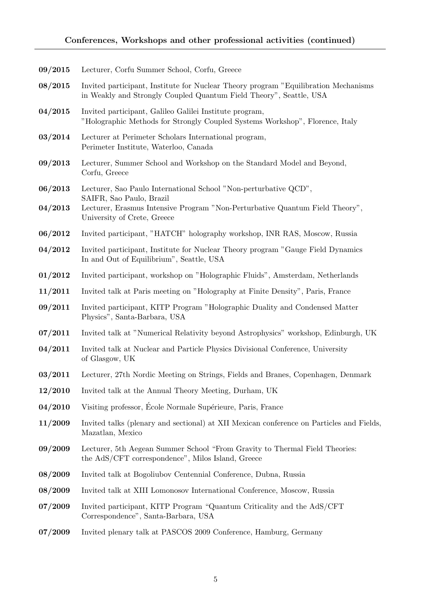| 09/2015 | Lecturer, Corfu Summer School, Corfu, Greece                                                                                                               |
|---------|------------------------------------------------------------------------------------------------------------------------------------------------------------|
| 08/2015 | Invited participant, Institute for Nuclear Theory program "Equilibration Mechanisms"<br>in Weakly and Strongly Coupled Quantum Field Theory", Seattle, USA |
| 04/2015 | Invited participant, Galileo Galilei Institute program,<br>"Holographic Methods for Strongly Coupled Systems Workshop", Florence, Italy                    |
| 03/2014 | Lecturer at Perimeter Scholars International program,<br>Perimeter Institute, Waterloo, Canada                                                             |
| 09/2013 | Lecturer, Summer School and Workshop on the Standard Model and Beyond,<br>Corfu, Greece                                                                    |
| 06/2013 | Lecturer, Sao Paulo International School "Non-perturbative QCD",                                                                                           |
| 04/2013 | SAIFR, Sao Paulo, Brazil<br>Lecturer, Erasmus Intensive Program "Non-Perturbative Quantum Field Theory",<br>University of Crete, Greece                    |
| 06/2012 | Invited participant, "HATCH" holography workshop, INR RAS, Moscow, Russia                                                                                  |
| 04/2012 | Invited participant, Institute for Nuclear Theory program "Gauge Field Dynamics"<br>In and Out of Equilibrium", Seattle, USA                               |
| 01/2012 | Invited participant, workshop on "Holographic Fluids", Amsterdam, Netherlands                                                                              |
| 11/2011 | Invited talk at Paris meeting on "Holography at Finite Density", Paris, France                                                                             |
| 09/2011 | Invited participant, KITP Program "Holographic Duality and Condensed Matter<br>Physics", Santa-Barbara, USA                                                |
| 07/2011 | Invited talk at "Numerical Relativity beyond Astrophysics" workshop, Edinburgh, UK                                                                         |
| 04/2011 | Invited talk at Nuclear and Particle Physics Divisional Conference, University<br>of Glasgow, UK                                                           |
| 03/2011 | Lecturer, 27th Nordic Meeting on Strings, Fields and Branes, Copenhagen, Denmark                                                                           |
| 12/2010 | Invited talk at the Annual Theory Meeting, Durham, UK                                                                                                      |
| 04/2010 | Visiting professor, École Normale Supérieure, Paris, France                                                                                                |
| 11/2009 | Invited talks (plenary and sectional) at XII Mexican conference on Particles and Fields,<br>Mazatlan, Mexico                                               |
| 09/2009 | Lecturer, 5th Aegean Summer School "From Gravity to Thermal Field Theories:<br>the AdS/CFT correspondence", Milos Island, Greece                           |
| 08/2009 | Invited talk at Bogoliubov Centennial Conference, Dubna, Russia                                                                                            |
| 08/2009 | Invited talk at XIII Lomonosov International Conference, Moscow, Russia                                                                                    |
| 07/2009 | Invited participant, KITP Program "Quantum Criticality and the AdS/CFT<br>Correspondence", Santa-Barbara, USA                                              |
| 07/2009 | Invited plenary talk at PASCOS 2009 Conference, Hamburg, Germany                                                                                           |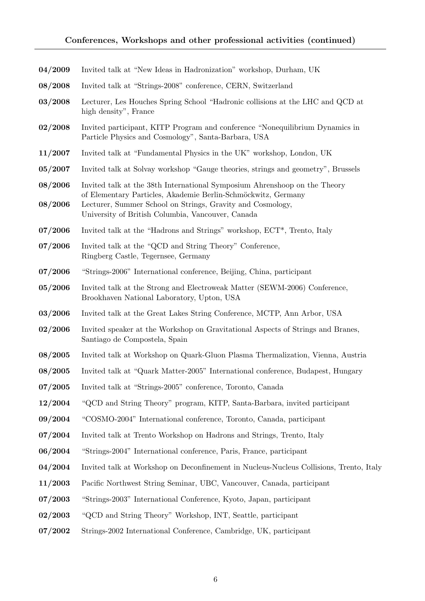| 04/2009 | Invited talk at "New Ideas in Hadronization" workshop, Durham, UK                                                                                                                |
|---------|----------------------------------------------------------------------------------------------------------------------------------------------------------------------------------|
| 08/2008 | Invited talk at "Strings-2008" conference, CERN, Switzerland                                                                                                                     |
| 03/2008 | Lecturer, Les Houches Spring School "Hadronic collisions at the LHC and QCD at<br>high density", France                                                                          |
| 02/2008 | Invited participant, KITP Program and conference "Nonequilibrium Dynamics in<br>Particle Physics and Cosmology", Santa-Barbara, USA                                              |
| 11/2007 | Invited talk at "Fundamental Physics in the UK" workshop, London, UK                                                                                                             |
| 05/2007 | Invited talk at Solvay workshop "Gauge theories, strings and geometry", Brussels                                                                                                 |
| 08/2006 | Invited talk at the 38th International Symposium Ahrenshoop on the Theory                                                                                                        |
| 08/2006 | of Elementary Particles, Akademie Berlin-Schmöckwitz, Germany<br>Lecturer, Summer School on Strings, Gravity and Cosmology,<br>University of British Columbia, Vancouver, Canada |
| 07/2006 | Invited talk at the "Hadrons and Strings" workshop, ECT <sup>*</sup> , Trento, Italy                                                                                             |
| 07/2006 | Invited talk at the "QCD and String Theory" Conference,<br>Ringberg Castle, Tegernsee, Germany                                                                                   |
| 07/2006 | "Strings-2006" International conference, Beijing, China, participant                                                                                                             |
| 05/2006 | Invited talk at the Strong and Electroweak Matter (SEWM-2006) Conference,<br>Brookhaven National Laboratory, Upton, USA                                                          |
| 03/2006 | Invited talk at the Great Lakes String Conference, MCTP, Ann Arbor, USA                                                                                                          |
| 02/2006 | Invited speaker at the Workshop on Gravitational Aspects of Strings and Branes,<br>Santiago de Compostela, Spain                                                                 |
| 08/2005 | Invited talk at Workshop on Quark-Gluon Plasma Thermalization, Vienna, Austria                                                                                                   |
| 08/2005 | Invited talk at "Quark Matter-2005" International conference, Budapest, Hungary                                                                                                  |
| 07/2005 | Invited talk at "Strings-2005" conference, Toronto, Canada                                                                                                                       |
| 12/2004 | "QCD and String Theory" program, KITP, Santa-Barbara, invited participant                                                                                                        |
| 09/2004 | "COSMO-2004" International conference, Toronto, Canada, participant                                                                                                              |
| 07/2004 | Invited talk at Trento Workshop on Hadrons and Strings, Trento, Italy                                                                                                            |
| 06/2004 | "Strings-2004" International conference, Paris, France, participant                                                                                                              |
| 04/2004 | Invited talk at Workshop on Deconfinement in Nucleus-Nucleus Collisions, Trento, Italy                                                                                           |
| 11/2003 | Pacific Northwest String Seminar, UBC, Vancouver, Canada, participant                                                                                                            |
| 07/2003 | "Strings-2003" International Conference, Kyoto, Japan, participant                                                                                                               |
| 02/2003 | "QCD and String Theory" Workshop, INT, Seattle, participant                                                                                                                      |
| 07/2002 | Strings-2002 International Conference, Cambridge, UK, participant                                                                                                                |
|         |                                                                                                                                                                                  |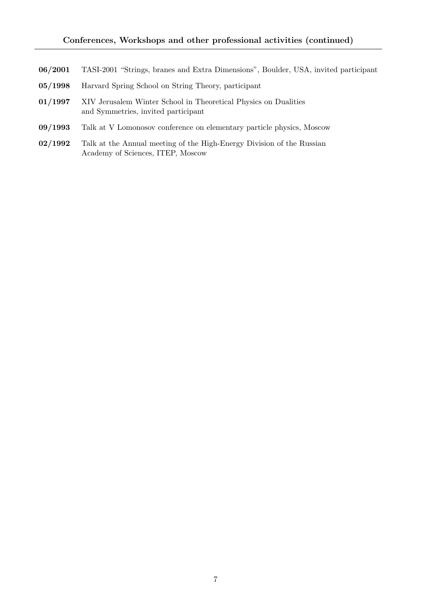- 06/2001 TASI-2001 "Strings, branes and Extra Dimensions", Boulder, USA, invited participant
- 05/1998 Harvard Spring School on String Theory, participant
- 01/1997 XIV Jerusalem Winter School in Theoretical Physics on Dualities and Symmetries, invited participant
- 09/1993 Talk at V Lomonosov conference on elementary particle physics, Moscow
- 02/1992 Talk at the Annual meeting of the High-Energy Division of the Russian Academy of Sciences, ITEP, Moscow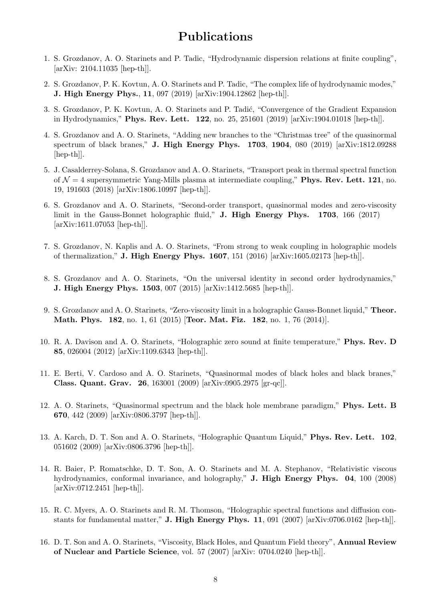## Publications

- 1. S. Grozdanov, A. O. Starinets and P. Tadic, "Hydrodynamic dispersion relations at finite coupling", [arXiv: 2104.11035 [hep-th]].
- 2. S. Grozdanov, P. K. Kovtun, A. O. Starinets and P. Tadic, "The complex life of hydrodynamic modes," J. High Energy Phys., 11, 097 (2019) [arXiv:1904.12862 [hep-th]].
- 3. S. Grozdanov, P. K. Kovtun, A. O. Starinets and P. Tadić, "Convergence of the Gradient Expansion in Hydrodynamics," Phys. Rev. Lett. 122, no. 25, 251601 (2019) [arXiv:1904.01018 [hep-th]].
- 4. S. Grozdanov and A. O. Starinets, "Adding new branches to the "Christmas tree" of the quasinormal spectrum of black branes," J. High Energy Phys. 1703, 1904, 080 (2019) [arXiv:1812.09288 [hep-th]].
- 5. J. Casalderrey-Solana, S. Grozdanov and A. O. Starinets, "Transport peak in thermal spectral function of  $\mathcal{N} = 4$  supersymmetric Yang-Mills plasma at intermediate coupling," **Phys. Rev. Lett. 121**, no. 19, 191603 (2018) [arXiv:1806.10997 [hep-th]].
- 6. S. Grozdanov and A. O. Starinets, "Second-order transport, quasinormal modes and zero-viscosity limit in the Gauss-Bonnet holographic fluid," J. High Energy Phys. 1703, 166 (2017) [arXiv:1611.07053 [hep-th]].
- 7. S. Grozdanov, N. Kaplis and A. O. Starinets, "From strong to weak coupling in holographic models of thermalization," J. High Energy Phys. 1607, 151 (2016) [arXiv:1605.02173 [hep-th]].
- 8. S. Grozdanov and A. O. Starinets, "On the universal identity in second order hydrodynamics," J. High Energy Phys. 1503, 007 (2015) [arXiv:1412.5685 [hep-th]].
- 9. S. Grozdanov and A. O. Starinets, "Zero-viscosity limit in a holographic Gauss-Bonnet liquid," Theor. Math. Phys. 182, no. 1, 61 (2015) [Teor. Mat. Fiz. 182, no. 1, 76 (2014)].
- 10. R. A. Davison and A. O. Starinets, "Holographic zero sound at finite temperature," Phys. Rev. D 85, 026004 (2012) [arXiv:1109.6343 [hep-th]].
- 11. E. Berti, V. Cardoso and A. O. Starinets, "Quasinormal modes of black holes and black branes," Class. Quant. Grav. 26, 163001 (2009) [arXiv:0905.2975 [gr-qc]].
- 12. A. O. Starinets, "Quasinormal spectrum and the black hole membrane paradigm," Phys. Lett. B 670, 442 (2009) [arXiv:0806.3797 [hep-th]].
- 13. A. Karch, D. T. Son and A. O. Starinets, "Holographic Quantum Liquid," Phys. Rev. Lett. 102, 051602 (2009) [arXiv:0806.3796 [hep-th]].
- 14. R. Baier, P. Romatschke, D. T. Son, A. O. Starinets and M. A. Stephanov, "Relativistic viscous hydrodynamics, conformal invariance, and holography," J. High Energy Phys. 04, 100 (2008) [arXiv:0712.2451 [hep-th]].
- 15. R. C. Myers, A. O. Starinets and R. M. Thomson, "Holographic spectral functions and diffusion constants for fundamental matter," **J. High Energy Phys. 11**, 091 (2007) [arXiv:0706.0162 [hep-th]].
- 16. D. T. Son and A. O. Starinets, "Viscosity, Black Holes, and Quantum Field theory", Annual Review of Nuclear and Particle Science, vol. 57 (2007) [arXiv: 0704.0240 [hep-th]].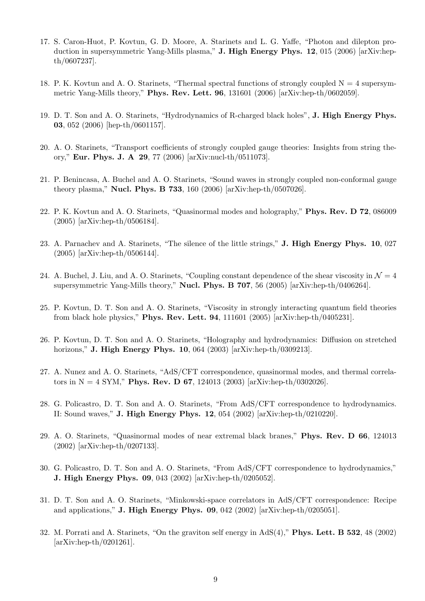- 17. S. Caron-Huot, P. Kovtun, G. D. Moore, A. Starinets and L. G. Yaffe, "Photon and dilepton production in supersymmetric Yang-Mills plasma," **J. High Energy Phys. 12**, 015 (2006) [arXiv:hepth/0607237].
- 18. P. K. Kovtun and A. O. Starinets, "Thermal spectral functions of strongly coupled  $N = 4$  supersymmetric Yang-Mills theory," Phys. Rev. Lett. 96, 131601 (2006) [arXiv:hep-th/0602059].
- 19. D. T. Son and A. O. Starinets, "Hydrodynamics of R-charged black holes", J. High Energy Phys. 03, 052 (2006) [hep-th/0601157].
- 20. A. O. Starinets, "Transport coefficients of strongly coupled gauge theories: Insights from string theory," Eur. Phys. J. A 29, 77 (2006) [arXiv:nucl-th/0511073].
- 21. P. Benincasa, A. Buchel and A. O. Starinets, "Sound waves in strongly coupled non-conformal gauge theory plasma," Nucl. Phys. B 733, 160 (2006) [arXiv:hep-th/0507026].
- 22. P. K. Kovtun and A. O. Starinets, "Quasinormal modes and holography," Phys. Rev. D 72, 086009 (2005) [arXiv:hep-th/0506184].
- 23. A. Parnachev and A. Starinets, "The silence of the little strings," J. High Energy Phys. 10, 027 (2005) [arXiv:hep-th/0506144].
- 24. A. Buchel, J. Liu, and A. O. Starinets, "Coupling constant dependence of the shear viscosity in  $\mathcal{N} = 4$ supersymmetric Yang-Mills theory," Nucl. Phys. B 707, 56 (2005) [arXiv:hep-th/0406264].
- 25. P. Kovtun, D. T. Son and A. O. Starinets, "Viscosity in strongly interacting quantum field theories from black hole physics," Phys. Rev. Lett. 94, 111601 (2005) [arXiv:hep-th/0405231].
- 26. P. Kovtun, D. T. Son and A. O. Starinets, "Holography and hydrodynamics: Diffusion on stretched horizons," **J. High Energy Phys. 10**, 064 (2003) [arXiv:hep-th/0309213].
- 27. A. Nunez and A. O. Starinets, "AdS/CFT correspondence, quasinormal modes, and thermal correlators in  $N = 4$  SYM," **Phys. Rev. D 67**, 124013 (2003) [arXiv:hep-th/0302026].
- 28. G. Policastro, D. T. Son and A. O. Starinets, "From AdS/CFT correspondence to hydrodynamics. II: Sound waves," J. High Energy Phys. 12, 054 (2002) [arXiv:hep-th/0210220].
- 29. A. O. Starinets, "Quasinormal modes of near extremal black branes," Phys. Rev. D 66, 124013 (2002) [arXiv:hep-th/0207133].
- 30. G. Policastro, D. T. Son and A. O. Starinets, "From AdS/CFT correspondence to hydrodynamics," J. High Energy Phys. 09, 043 (2002) [arXiv:hep-th/0205052].
- 31. D. T. Son and A. O. Starinets, "Minkowski-space correlators in AdS/CFT correspondence: Recipe and applications," J. High Energy Phys. 09, 042 (2002) [arXiv:hep-th/0205051].
- 32. M. Porrati and A. Starinets, "On the graviton self energy in AdS(4)," Phys. Lett. B 532, 48 (2002) [arXiv:hep-th/0201261].